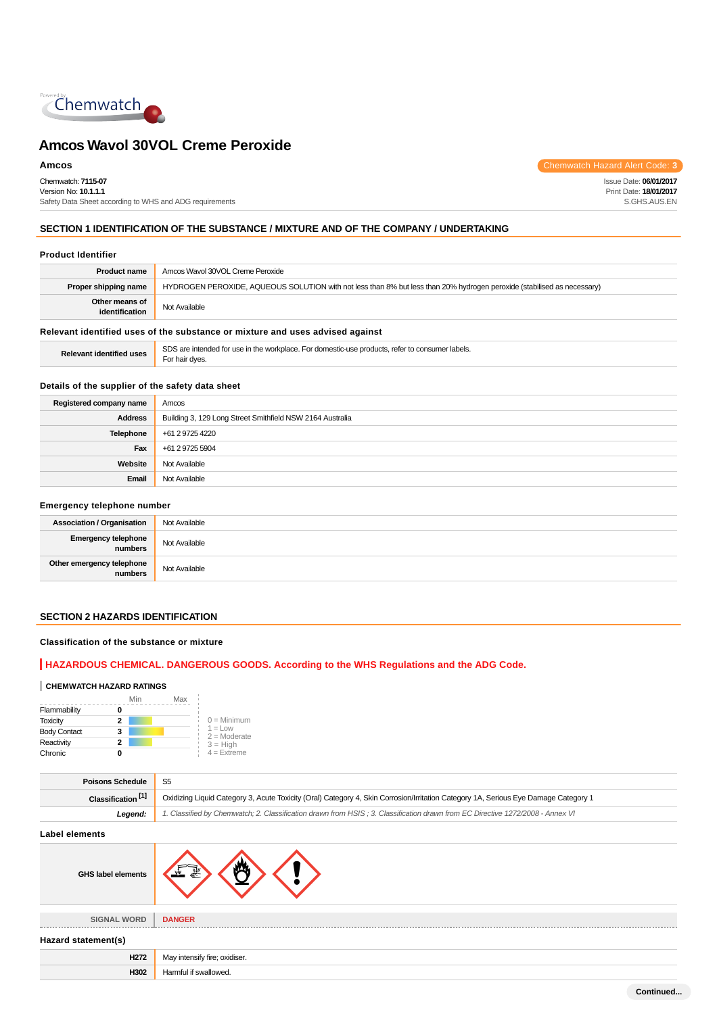

Chemwatch: **7115-07** Version No: **10.1.1.1** Safety Data Sheet according to WHS and ADG requirements

**Amcos** Chemwatch Hazard Alert Code: **3** 

Issue Date: **06/01/2017** Print Date: **18/01/2017** S.GHS.AUS.EN

# **SECTION 1 IDENTIFICATION OF THE SUBSTANCE / MIXTURE AND OF THE COMPANY / UNDERTAKING**

# **Product Identifier**

| <b>Product name</b>                                                           | Amcos Wavol 30VOL Creme Peroxide                                                                                        |  |
|-------------------------------------------------------------------------------|-------------------------------------------------------------------------------------------------------------------------|--|
| Proper shipping name                                                          | HYDROGEN PEROXIDE, AQUEOUS SOLUTION with not less than 8% but less than 20% hydrogen peroxide (stabilised as necessary) |  |
| Other means of<br>identification                                              | Not Available                                                                                                           |  |
| Relevant identified uses of the substance or mixture and uses advised against |                                                                                                                         |  |

**Relevant identified uses** SDS are intended for use in the workplace. For domestic-use products, refer to consumer labels.

# **Details of the supplier of the safety data sheet**

For hair dyes.

| Registered company name | Amcos                                                     |  |
|-------------------------|-----------------------------------------------------------|--|
| <b>Address</b>          | Building 3, 129 Long Street Smithfield NSW 2164 Australia |  |
| <b>Telephone</b>        | +61 2 9725 4220                                           |  |
| Fax                     | +61 2 9725 5904                                           |  |
| Website                 | Not Available                                             |  |
| Email                   | Not Available                                             |  |

# **Emergency telephone number**

| <b>Association / Organisation</b>    | Not Available |
|--------------------------------------|---------------|
| Emergency telephone<br>numbers       | Not Available |
| Other emergency telephone<br>numbers | Not Available |

# **SECTION 2 HAZARDS IDENTIFICATION**

# **Classification of the substance or mixture**

# **HAZARDOUS CHEMICAL. DANGEROUS GOODS. According to the WHS Regulations and the ADG Code.**

#### **CHEMWATCH HAZARD RATINGS**

|                     | Min | Max |                                    |
|---------------------|-----|-----|------------------------------------|
| Flammability        | 0   |     |                                    |
| <b>Toxicity</b>     | 2   |     | $0 =$ Minimum                      |
| <b>Body Contact</b> | 3   |     | $1 = 1$ $\Omega$<br>$2 =$ Moderate |
| Reactivity          | 2   |     | $3 = High$                         |
| Chronic             | o   |     | $4$ = Extreme                      |

| <b>Poisons Schedule</b>       |                                                                                                                                     |  |
|-------------------------------|-------------------------------------------------------------------------------------------------------------------------------------|--|
| Classification <sup>[1]</sup> | Oxidizing Liquid Category 3, Acute Toxicity (Oral) Category 4, Skin Corrosion/Irritation Category 1A, Serious Eye Damage Category 1 |  |
| Legend:                       | 1. Classified by Chemwatch; 2. Classification drawn from HSIS; 3. Classification drawn from EC Directive 1272/2008 - Annex VI       |  |
|                               |                                                                                                                                     |  |

**Label elements**

| <b>GHS label elements</b> |                               |  |
|---------------------------|-------------------------------|--|
| <b>SIGNAL WORD</b>        | <b>DANGER</b>                 |  |
| Hazard statement(s)       |                               |  |
| H <sub>272</sub>          | May intensify fire; oxidiser. |  |
| H302                      | Harmful if swallowed.         |  |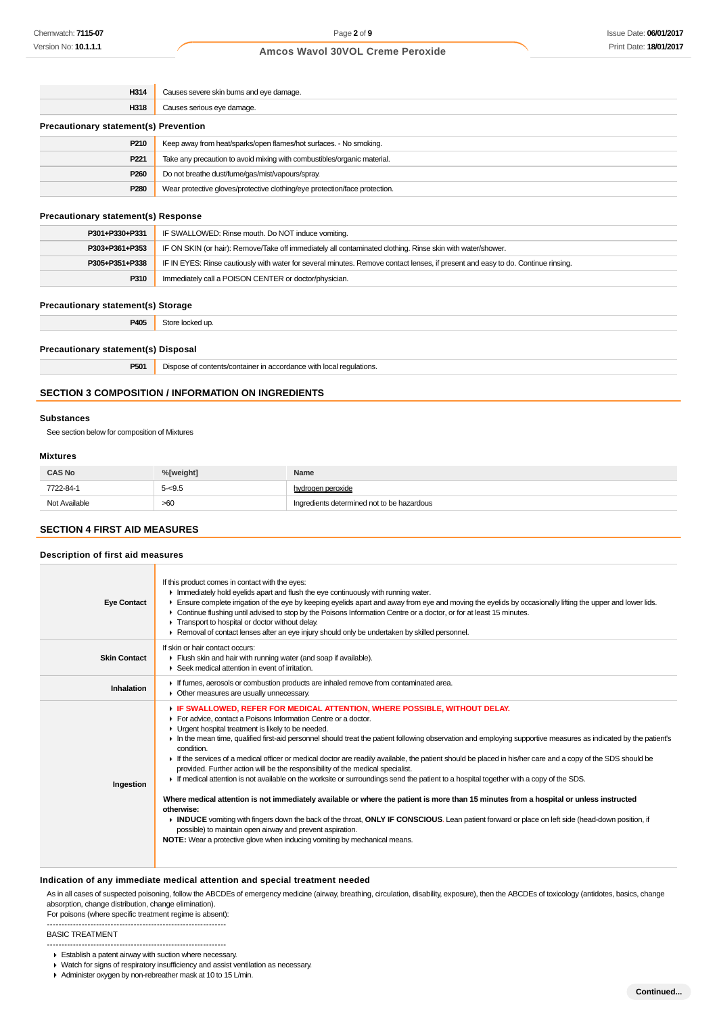| H314                                         | Causes severe skin burns and eye damage.                                   |  |
|----------------------------------------------|----------------------------------------------------------------------------|--|
| H318                                         | Causes serious eye damage.                                                 |  |
| <b>Precautionary statement(s) Prevention</b> |                                                                            |  |
| P210                                         | Keep away from heat/sparks/open flames/hot surfaces. - No smoking.         |  |
| P <sub>221</sub>                             | Take any precaution to avoid mixing with combustibles/organic material.    |  |
| P <sub>260</sub>                             | Do not breathe dust/fume/gas/mist/vapours/spray.                           |  |
| P <sub>280</sub>                             | Wear protective gloves/protective clothing/eye protection/face protection. |  |
|                                              |                                                                            |  |

# **Precautionary statement(s) Response**

| P301+P330+P331 | IF SWALLOWED: Rinse mouth. Do NOT induce vomiting.                                                                               |  |
|----------------|----------------------------------------------------------------------------------------------------------------------------------|--|
| P303+P361+P353 | IF ON SKIN (or hair): Remove/Take off immediately all contaminated clothing. Rinse skin with water/shower.                       |  |
| P305+P351+P338 | IF IN EYES: Rinse cautiously with water for several minutes. Remove contact lenses, if present and easy to do. Continue rinsing. |  |
| P310           | Immediately call a POISON CENTER or doctor/physician.                                                                            |  |

#### **Precautionary statement(s) Storage**

| P405<br>___ | ч.<br>זר<br><br>. |
|-------------|-------------------|
|             |                   |

# **Precautionary statement(s) Disposal**

| P501 | Dispose of contents/container in accordance with local regulations. |
|------|---------------------------------------------------------------------|
|------|---------------------------------------------------------------------|

# **SECTION 3 COMPOSITION / INFORMATION ON INGREDIENTS**

#### **Substances**

See section below for composition of Mixtures

#### **Mixtures**

| <b>CAS No</b> | % <b>Tweiaht1</b> | Name                                       |
|---------------|-------------------|--------------------------------------------|
| 7722-84-1     | $5 - 9.5$         | hvdrogen peroxide                          |
| Not Available | >60               | Ingredients determined not to be hazardous |

# **SECTION 4 FIRST AID MEASURES**

# **Description of first aid measures**

| <b>Eye Contact</b>  | If this product comes in contact with the eyes:<br>In Immediately hold eyelids apart and flush the eye continuously with running water.<br>Ensure complete irrigation of the eye by keeping eyelids apart and away from eye and moving the eyelids by occasionally lifting the upper and lower lids.<br>• Continue flushing until advised to stop by the Poisons Information Centre or a doctor, or for at least 15 minutes.<br>Transport to hospital or doctor without delay.<br>► Removal of contact lenses after an eye injury should only be undertaken by skilled personnel.                                                                                                                                                                                                                                                                                                                                                                                                                                                                                                                                                                                                                                                          |
|---------------------|--------------------------------------------------------------------------------------------------------------------------------------------------------------------------------------------------------------------------------------------------------------------------------------------------------------------------------------------------------------------------------------------------------------------------------------------------------------------------------------------------------------------------------------------------------------------------------------------------------------------------------------------------------------------------------------------------------------------------------------------------------------------------------------------------------------------------------------------------------------------------------------------------------------------------------------------------------------------------------------------------------------------------------------------------------------------------------------------------------------------------------------------------------------------------------------------------------------------------------------------|
| <b>Skin Contact</b> | If skin or hair contact occurs:<br>Flush skin and hair with running water (and soap if available).<br>▶ Seek medical attention in event of irritation.                                                                                                                                                                                                                                                                                                                                                                                                                                                                                                                                                                                                                                                                                                                                                                                                                                                                                                                                                                                                                                                                                     |
| Inhalation          | If fumes, aerosols or combustion products are inhaled remove from contaminated area.<br>• Other measures are usually unnecessary.                                                                                                                                                                                                                                                                                                                                                                                                                                                                                                                                                                                                                                                                                                                                                                                                                                                                                                                                                                                                                                                                                                          |
| Ingestion           | F IF SWALLOWED, REFER FOR MEDICAL ATTENTION, WHERE POSSIBLE, WITHOUT DELAY.<br>For advice, contact a Poisons Information Centre or a doctor.<br>• Urgent hospital treatment is likely to be needed.<br>In the mean time, qualified first-aid personnel should treat the patient following observation and employing supportive measures as indicated by the patient's<br>condition.<br>If the services of a medical officer or medical doctor are readily available, the patient should be placed in his/her care and a copy of the SDS should be<br>provided. Further action will be the responsibility of the medical specialist.<br>F If medical attention is not available on the worksite or surroundings send the patient to a hospital together with a copy of the SDS.<br>Where medical attention is not immediately available or where the patient is more than 15 minutes from a hospital or unless instructed<br>otherwise:<br>INDUCE vomiting with fingers down the back of the throat, ONLY IF CONSCIOUS. Lean patient forward or place on left side (head-down position, if<br>possible) to maintain open airway and prevent aspiration.<br><b>NOTE:</b> Wear a protective glove when inducing vomiting by mechanical means. |

#### **Indication of any immediate medical attention and special treatment needed**

As in all cases of suspected poisoning, follow the ABCDEs of emergency medicine (airway, breathing, circulation, disability, exposure), then the ABCDEs of toxicology (antidotes, basics, change absorption, change distribution, change elimination).

For poisons (where specific treatment regime is absent): --------------------------------------------------------------

BASIC TREATMENT

- --------------------------------------------------------------
- Establish a patent airway with suction where necessary.
- Watch for signs of respiratory insufficiency and assist ventilation as necessary.
- Administer oxygen by non-rebreather mask at 10 to 15 L/min.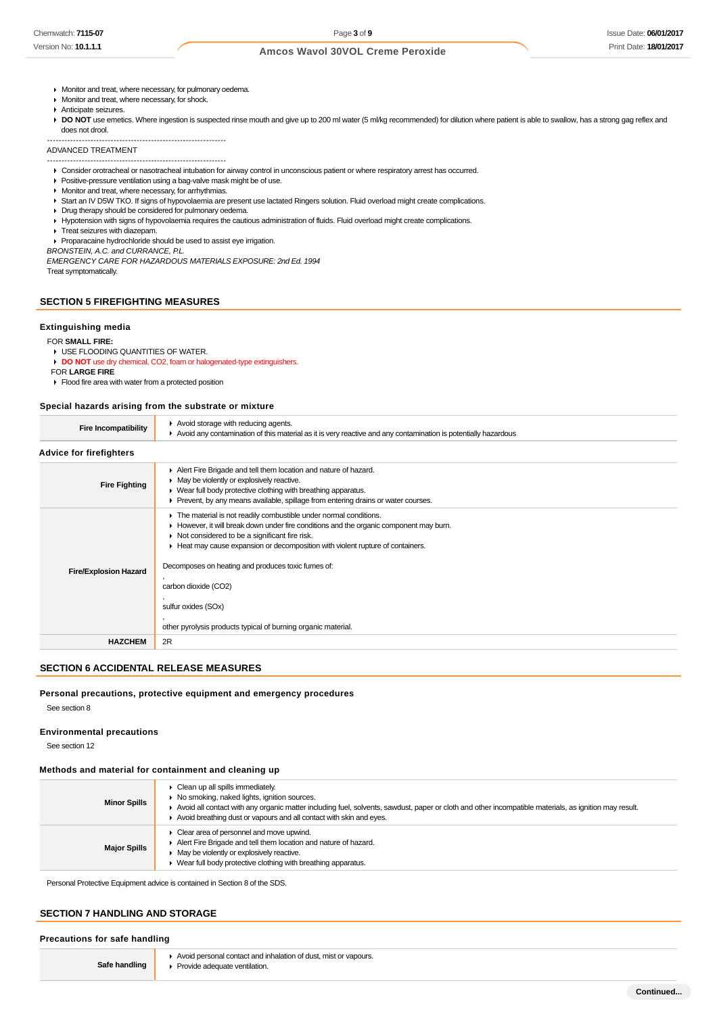- **Monitor and treat, where necessary, for pulmonary oedema.**
- Monitor and treat, where necessary, for shock.
- Anticipate seizures.

DO NOT use emetics. Where ingestion is suspected rinse mouth and give up to 200 ml water (5 ml/kg recommended) for dilution where patient is able to swallow, has a strong gag reflex and does not drool.

#### -------------------------------------------------------------- ADVANCED TREATMENT

--------------------------------------------------------------

Consider orotracheal or nasotracheal intubation for airway control in unconscious patient or where respiratory arrest has occurred.

- **Positive-pressure ventilation using a bag-valve mask might be of use.**
- **Monitor and treat, where necessary, for arrhythmias.**
- Start an IV D5W TKO. If signs of hypovolaemia are present use lactated Ringers solution. Fluid overload might create complications.
- Drug therapy should be considered for pulmonary oedema.
- Hypotension with signs of hypovolaemia requires the cautious administration of fluids. Fluid overload might create complications.
- **Treat seizures with diazepam.**

Proparacaine hydrochloride should be used to assist eye irrigation.

BRONSTEIN, A.C. and CURRANCE, P.L.

EMERGENCY CARE FOR HAZARDOUS MATERIALS EXPOSURE: 2nd Ed. 1994 Treat symptomatically.

# **SECTION 5 FIREFIGHTING MEASURES**

#### **Extinguishing media**

#### FOR **SMALL FIRE:**

USE FLOODING QUANTITIES OF WATER.

**DO NOT** use dry chemical, CO2, foam or halogenated-type extinguishers.

FOR **LARGE FIRE**

**Flood fire area with water from a protected position** 

# **Special hazards arising from the substrate or mixture**

| <b>Fire Incompatibility</b>  | Avoid storage with reducing agents.<br>► Avoid any contamination of this material as it is very reactive and any contamination is potentially hazardous                                                                                                                                                                                                                                                                                                                              |
|------------------------------|--------------------------------------------------------------------------------------------------------------------------------------------------------------------------------------------------------------------------------------------------------------------------------------------------------------------------------------------------------------------------------------------------------------------------------------------------------------------------------------|
| Advice for firefighters      |                                                                                                                                                                                                                                                                                                                                                                                                                                                                                      |
| <b>Fire Fighting</b>         | Alert Fire Brigade and tell them location and nature of hazard.<br>• May be violently or explosively reactive.<br>• Wear full body protective clothing with breathing apparatus.<br>▶ Prevent, by any means available, spillage from entering drains or water courses.                                                                                                                                                                                                               |
| <b>Fire/Explosion Hazard</b> | The material is not readily combustible under normal conditions.<br>► However, it will break down under fire conditions and the organic component may burn.<br>$\triangleright$ Not considered to be a significant fire risk.<br>Heat may cause expansion or decomposition with violent rupture of containers.<br>Decomposes on heating and produces toxic fumes of:<br>carbon dioxide (CO2)<br>sulfur oxides (SOx)<br>other pyrolysis products typical of burning organic material. |
| <b>HAZCHEM</b>               | 2R                                                                                                                                                                                                                                                                                                                                                                                                                                                                                   |

#### **SECTION 6 ACCIDENTAL RELEASE MEASURES**

#### **Personal precautions, protective equipment and emergency procedures**

See section 8

#### **Environmental precautions**

See section 12

# **Methods and material for containment and cleaning up**

| <b>Minor Spills</b> | • Clean up all spills immediately.<br>▶ No smoking, naked lights, ignition sources.<br>Avoid all contact with any organic matter including fuel, solvents, sawdust, paper or cloth and other incompatible materials, as ignition may result.<br>Avoid breathing dust or vapours and all contact with skin and eyes. |
|---------------------|---------------------------------------------------------------------------------------------------------------------------------------------------------------------------------------------------------------------------------------------------------------------------------------------------------------------|
| <b>Major Spills</b> | • Clear area of personnel and move upwind.<br>Alert Fire Brigade and tell them location and nature of hazard.<br>$\blacktriangleright$ May be violently or explosively reactive.<br>▶ Wear full body protective clothing with breathing apparatus.                                                                  |

Personal Protective Equipment advice is contained in Section 8 of the SDS.

# **SECTION 7 HANDLING AND STORAGE**

#### **Precautions for safe handling**

**Safe handling**

Avoid personal contact and inhalation of dust, mist or vapours. **Provide adequate ventilation.**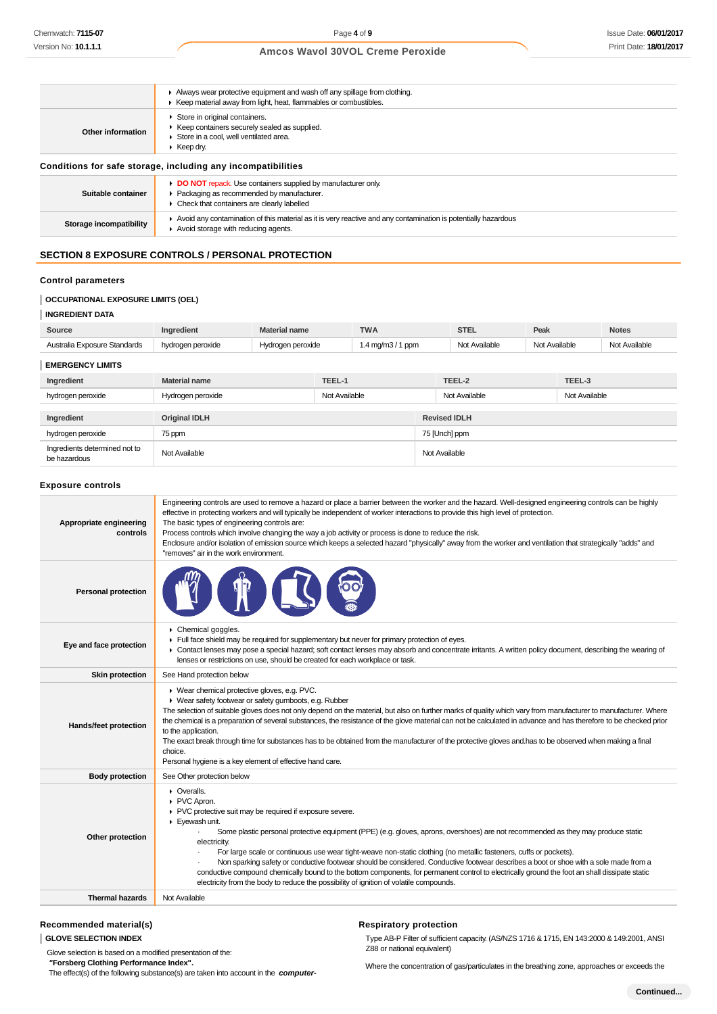|                         | Always wear protective equipment and wash off any spillage from clothing.<br>▶ Keep material away from light, heat, flammables or combustibles.                            |
|-------------------------|----------------------------------------------------------------------------------------------------------------------------------------------------------------------------|
| Other information       | Store in original containers.<br>EXTERIOR Keep containers securely sealed as supplied.<br>Store in a cool. well ventilated area.<br>$\blacktriangleright$ Keep dry.        |
|                         | Conditions for safe storage, including any incompatibilities                                                                                                               |
| Suitable container      | DO NOT repack. Use containers supplied by manufacturer only.<br>▶ Packaging as recommended by manufacturer.<br>$\triangleright$ Check that containers are clearly labelled |
| Storage incompatibility | Avoid any contamination of this material as it is very reactive and any contamination is potentially hazardous<br>Avoid storage with reducing agents.                      |

# **SECTION 8 EXPOSURE CONTROLS / PERSONAL PROTECTION**

# **Control parameters**

# **OCCUPATIONAL EXPOSURE LIMITS (OEL)**

| <b>INGREDIENT DATA</b>       |                      |                      |               |                    |                     |               |               |               |               |
|------------------------------|----------------------|----------------------|---------------|--------------------|---------------------|---------------|---------------|---------------|---------------|
| Source                       | Ingredient           | <b>Material name</b> |               | <b>TWA</b>         |                     | <b>STEL</b>   | Peak          |               | <b>Notes</b>  |
| Australia Exposure Standards | hydrogen peroxide    | Hydrogen peroxide    |               | 1.4 mg/m $3/1$ ppm |                     | Not Available | Not Available |               | Not Available |
| <b>EMERGENCY LIMITS</b>      |                      |                      |               |                    |                     |               |               |               |               |
| Ingredient                   | <b>Material name</b> |                      | TEEL-1        |                    |                     | TEEL-2        |               | TEEL-3        |               |
| hydrogen peroxide            | Hydrogen peroxide    |                      | Not Available |                    |                     | Not Available |               | Not Available |               |
|                              |                      |                      |               |                    |                     |               |               |               |               |
| Ingredient                   | <b>Original IDLH</b> |                      |               |                    | <b>Revised IDLH</b> |               |               |               |               |
| hydrogen peroxide            | 75 ppm               |                      |               |                    | 75 [Unch] ppm       |               |               |               |               |

ngrous not abundance to the Not Available Not Available Not Available Not Available

# **Exposure controls**

Ingredients determined not to

| Appropriate engineering<br>controls | Engineering controls are used to remove a hazard or place a barrier between the worker and the hazard. Well-designed engineering controls can be highly<br>effective in protecting workers and will typically be independent of worker interactions to provide this high level of protection.<br>The basic types of engineering controls are:<br>Process controls which involve changing the way a job activity or process is done to reduce the risk.<br>Enclosure and/or isolation of emission source which keeps a selected hazard "physically" away from the worker and ventilation that strategically "adds" and<br>"removes" air in the work environment.                                                                                                                      |
|-------------------------------------|--------------------------------------------------------------------------------------------------------------------------------------------------------------------------------------------------------------------------------------------------------------------------------------------------------------------------------------------------------------------------------------------------------------------------------------------------------------------------------------------------------------------------------------------------------------------------------------------------------------------------------------------------------------------------------------------------------------------------------------------------------------------------------------|
| <b>Personal protection</b>          |                                                                                                                                                                                                                                                                                                                                                                                                                                                                                                                                                                                                                                                                                                                                                                                      |
| Eye and face protection             | Chemical goggles.<br>Full face shield may be required for supplementary but never for primary protection of eyes.<br>• Contact lenses may pose a special hazard; soft contact lenses may absorb and concentrate irritants. A written policy document, describing the wearing of<br>lenses or restrictions on use, should be created for each workplace or task.                                                                                                                                                                                                                                                                                                                                                                                                                      |
| <b>Skin protection</b>              | See Hand protection below                                                                                                                                                                                                                                                                                                                                                                                                                                                                                                                                                                                                                                                                                                                                                            |
| Hands/feet protection               | ▶ Wear chemical protective gloves, e.g. PVC.<br>• Wear safety footwear or safety gumboots, e.g. Rubber<br>The selection of suitable gloves does not only depend on the material, but also on further marks of quality which vary from manufacturer to manufacturer. Where<br>the chemical is a preparation of several substances, the resistance of the glove material can not be calculated in advance and has therefore to be checked prior<br>to the application.<br>The exact break through time for substances has to be obtained from the manufacturer of the protective gloves and has to be observed when making a final<br>choice.<br>Personal hygiene is a key element of effective hand care.                                                                             |
| <b>Body protection</b>              | See Other protection below                                                                                                                                                                                                                                                                                                                                                                                                                                                                                                                                                                                                                                                                                                                                                           |
| Other protection                    | $\triangleright$ Overalls.<br>▶ PVC Apron.<br>PVC protective suit may be required if exposure severe.<br>Eyewash unit.<br>Some plastic personal protective equipment (PPE) (e.g. gloves, aprons, overshoes) are not recommended as they may produce static<br>electricity.<br>For large scale or continuous use wear tight-weave non-static clothing (no metallic fasteners, cuffs or pockets).<br>Non sparking safety or conductive footwear should be considered. Conductive footwear describes a boot or shoe with a sole made from a<br>conductive compound chemically bound to the bottom components, for permanent control to electrically ground the foot an shall dissipate static<br>electricity from the body to reduce the possibility of ignition of volatile compounds. |
| <b>Thermal hazards</b>              | Not Available                                                                                                                                                                                                                                                                                                                                                                                                                                                                                                                                                                                                                                                                                                                                                                        |

# **Recommended material(s)**

# **GLOVE SELECTION INDEX**

Glove selection is based on a modified presentation of the:  **"Forsberg Clothing Performance Index".**

The effect(s) of the following substance(s) are taken into account in the **computer-**

# **Respiratory protection**

Type AB-P Filter of sufficient capacity. (AS/NZS 1716 & 1715, EN 143:2000 & 149:2001, ANSI Z88 or national equivalent)

Where the concentration of gas/particulates in the breathing zone, approaches or exceeds the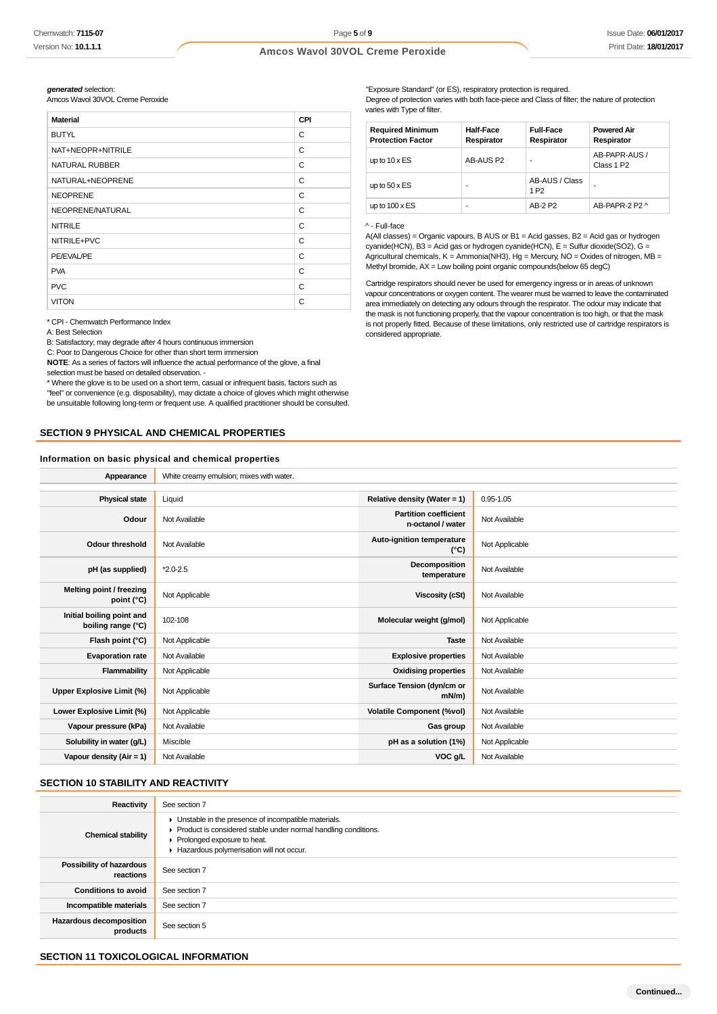**generated** selection:

Amcos Wavol 30VOL Creme Peroxide

| <b>Material</b>   | CPI |
|-------------------|-----|
| <b>BUTYL</b>      | C   |
| NAT+NEOPR+NITRILE | C   |
| NATURAL RUBBER    | C   |
| NATURAL+NEOPRENE  | C   |
| <b>NEOPRENE</b>   | C   |
| NEOPRENE/NATURAL  | C   |
| <b>NITRILE</b>    | C   |
| NITRILE+PVC       | C   |
| PE/EVAL/PE        | C   |
| <b>PVA</b>        | C   |
| <b>PVC</b>        | C   |
| <b>VITON</b>      | C   |

\* CPI - Chemwatch Performance Index

A: Best Selection

B: Satisfactory; may degrade after 4 hours continuous immersion

C: Poor to Dangerous Choice for other than short term immersion

**NOTE**: As a series of factors will influence the actual performance of the glove, a final selection must be based on detailed observation. -

\* Where the glove is to be used on a short term, casual or infrequent basis, factors such as "feel" or convenience (e.g. disposability), may dictate a choice of gloves which might otherwise be unsuitable following long-term or frequent use. A qualified practitioner should be consulted.

# **SECTION 9 PHYSICAL AND CHEMICAL PROPERTIES**

#### **Information on basic physical and chemical properties**

"Exposure Standard" (or ES), respiratory protection is required. Degree of protection varies with both face-piece and Class of filter; the nature of protection varies with Type of filter.

| <b>Required Minimum</b><br><b>Protection Factor</b> | Half-Face<br>Respirator | <b>Full-Face</b><br>Respirator     | <b>Powered Air</b><br>Respirator        |
|-----------------------------------------------------|-------------------------|------------------------------------|-----------------------------------------|
| up to $10 \times ES$                                | AB-AUS P2               | -                                  | AB-PAPR-AUS /<br>Class 1 P <sub>2</sub> |
| up to $50 \times ES$                                |                         | AB-AUS / Class<br>1 P <sub>2</sub> | ۰                                       |
| up to $100 \times ES$                               | ۰                       | AB-2 P2                            | AR-PAPR-2 P2 ^                          |

#### ^ - Full-face

A(All classes) = Organic vapours, B AUS or B1 = Acid gasses, B2 = Acid gas or hydrogen cyanide(HCN), B3 = Acid gas or hydrogen cyanide(HCN), E = Sulfur dioxide(SO2), G = Agricultural chemicals, K = Ammonia(NH3), Hg = Mercury, NO = Oxides of nitrogen, MB = Methyl bromide, AX = Low boiling point organic compounds(below 65 degC)

Cartridge respirators should never be used for emergency ingress or in areas of unknown vapour concentrations or oxygen content. The wearer must be warned to leave the contaminated area immediately on detecting any odours through the respirator. The odour may indicate that the mask is not functioning properly, that the vapour concentration is too high, or that the mask is not properly fitted. Because of these limitations, only restricted use of cartridge respirators is considered appropriate.

| Appearance                                      | White creamy emulsion; mixes with water. |                                                   |                |
|-------------------------------------------------|------------------------------------------|---------------------------------------------------|----------------|
|                                                 |                                          |                                                   |                |
| <b>Physical state</b>                           | Liquid                                   | Relative density (Water = 1)                      | $0.95 - 1.05$  |
| Odour                                           | Not Available                            | <b>Partition coefficient</b><br>n-octanol / water | Not Available  |
| <b>Odour threshold</b>                          | Not Available                            | Auto-ignition temperature<br>$(^{\circ}C)$        | Not Applicable |
| pH (as supplied)                                | $*2.0 - 2.5$                             | Decomposition<br>temperature                      | Not Available  |
| Melting point / freezing<br>point $(^{\circ}C)$ | Not Applicable                           | <b>Viscosity (cSt)</b>                            | Not Available  |
| Initial boiling point and<br>boiling range (°C) | 102-108                                  | Molecular weight (g/mol)                          | Not Applicable |
| Flash point (°C)                                | Not Applicable                           | <b>Taste</b>                                      | Not Available  |
| <b>Evaporation rate</b>                         | Not Available                            | <b>Explosive properties</b>                       | Not Available  |
| Flammability                                    | Not Applicable                           | <b>Oxidising properties</b>                       | Not Available  |
| Upper Explosive Limit (%)                       | Not Applicable                           | Surface Tension (dyn/cm or<br>mN/m                | Not Available  |
| Lower Explosive Limit (%)                       | Not Applicable                           | <b>Volatile Component (%vol)</b>                  | Not Available  |
| Vapour pressure (kPa)                           | Not Available                            | Gas group                                         | Not Available  |
| Solubility in water (g/L)                       | Miscible                                 | pH as a solution (1%)                             | Not Applicable |
| Vapour density ( $Air = 1$ )                    | Not Available                            | VOC g/L                                           | Not Available  |

# **SECTION 10 STABILITY AND REACTIVITY**

| Reactivity                            | See section 7                                                                                                                                                                                      |
|---------------------------------------|----------------------------------------------------------------------------------------------------------------------------------------------------------------------------------------------------|
| <b>Chemical stability</b>             | • Unstable in the presence of incompatible materials.<br>Product is considered stable under normal handling conditions.<br>Prolonged exposure to heat.<br>Hazardous polymerisation will not occur. |
| Possibility of hazardous<br>reactions | See section 7                                                                                                                                                                                      |
| <b>Conditions to avoid</b>            | See section 7                                                                                                                                                                                      |
| Incompatible materials                | See section 7                                                                                                                                                                                      |
| Hazardous decomposition<br>products   | See section 5                                                                                                                                                                                      |

# **SECTION 11 TOXICOLOGICAL INFORMATION**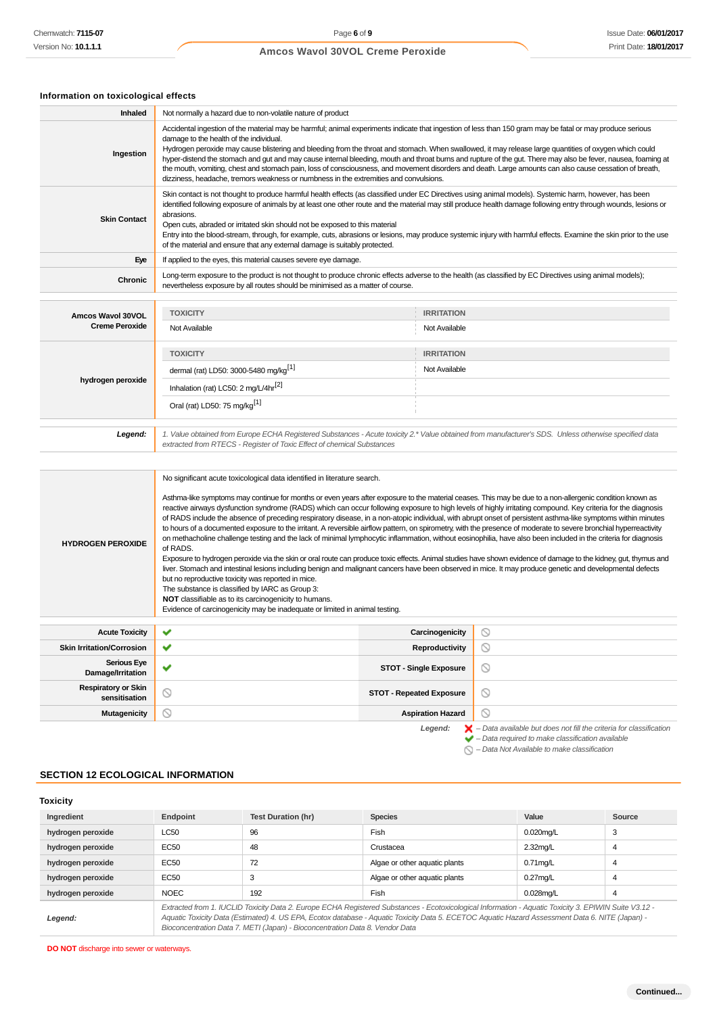# **Information on toxicological effects**

| Inhaled                                     | Not normally a hazard due to non-volatile nature of product                                                                                                                                                                                                                                                                                                                                                                                                                                                                                                                                                                                                                                                                                                                                                                                                                                                                                                                                                                                                                                                                                                                                                                                                                                                                                                                                                                                                                                                       |                                                                                                                                                                               |  |  |  |
|---------------------------------------------|-------------------------------------------------------------------------------------------------------------------------------------------------------------------------------------------------------------------------------------------------------------------------------------------------------------------------------------------------------------------------------------------------------------------------------------------------------------------------------------------------------------------------------------------------------------------------------------------------------------------------------------------------------------------------------------------------------------------------------------------------------------------------------------------------------------------------------------------------------------------------------------------------------------------------------------------------------------------------------------------------------------------------------------------------------------------------------------------------------------------------------------------------------------------------------------------------------------------------------------------------------------------------------------------------------------------------------------------------------------------------------------------------------------------------------------------------------------------------------------------------------------------|-------------------------------------------------------------------------------------------------------------------------------------------------------------------------------|--|--|--|
| Ingestion                                   | Accidental ingestion of the material may be harmful; animal experiments indicate that ingestion of less than 150 gram may be fatal or may produce serious<br>damage to the health of the individual.<br>Hydrogen peroxide may cause blistering and bleeding from the throat and stomach. When swallowed, it may release large quantities of oxygen which could<br>hyper-distend the stomach and gut and may cause internal bleeding, mouth and throat burns and rupture of the gut. There may also be fever, nausea, foaming at<br>the mouth, vomiting, chest and stomach pain, loss of consciousness, and movement disorders and death. Large amounts can also cause cessation of breath,<br>dizziness, headache, tremors weakness or numbness in the extremities and convulsions.<br>Skin contact is not thought to produce harmful health effects (as classified under EC Directives using animal models). Systemic harm, however, has been                                                                                                                                                                                                                                                                                                                                                                                                                                                                                                                                                                    |                                                                                                                                                                               |  |  |  |
| <b>Skin Contact</b>                         | identified following exposure of animals by at least one other route and the material may still produce health damage following entry through wounds, lesions or<br>abrasions.<br>Open cuts, abraded or irritated skin should not be exposed to this material<br>Entry into the blood-stream, through, for example, cuts, abrasions or lesions, may produce systemic injury with harmful effects. Examine the skin prior to the use<br>of the material and ensure that any external damage is suitably protected.                                                                                                                                                                                                                                                                                                                                                                                                                                                                                                                                                                                                                                                                                                                                                                                                                                                                                                                                                                                                 |                                                                                                                                                                               |  |  |  |
| Eye                                         | If applied to the eyes, this material causes severe eye damage.                                                                                                                                                                                                                                                                                                                                                                                                                                                                                                                                                                                                                                                                                                                                                                                                                                                                                                                                                                                                                                                                                                                                                                                                                                                                                                                                                                                                                                                   |                                                                                                                                                                               |  |  |  |
| Chronic                                     | Long-term exposure to the product is not thought to produce chronic effects adverse to the health (as classified by EC Directives using animal models);<br>nevertheless exposure by all routes should be minimised as a matter of course.                                                                                                                                                                                                                                                                                                                                                                                                                                                                                                                                                                                                                                                                                                                                                                                                                                                                                                                                                                                                                                                                                                                                                                                                                                                                         |                                                                                                                                                                               |  |  |  |
|                                             |                                                                                                                                                                                                                                                                                                                                                                                                                                                                                                                                                                                                                                                                                                                                                                                                                                                                                                                                                                                                                                                                                                                                                                                                                                                                                                                                                                                                                                                                                                                   |                                                                                                                                                                               |  |  |  |
| Amcos Wavol 30VOL                           | <b>TOXICITY</b>                                                                                                                                                                                                                                                                                                                                                                                                                                                                                                                                                                                                                                                                                                                                                                                                                                                                                                                                                                                                                                                                                                                                                                                                                                                                                                                                                                                                                                                                                                   | <b>IRRITATION</b>                                                                                                                                                             |  |  |  |
| <b>Creme Peroxide</b>                       | Not Available                                                                                                                                                                                                                                                                                                                                                                                                                                                                                                                                                                                                                                                                                                                                                                                                                                                                                                                                                                                                                                                                                                                                                                                                                                                                                                                                                                                                                                                                                                     | Not Available                                                                                                                                                                 |  |  |  |
|                                             | <b>TOXICITY</b>                                                                                                                                                                                                                                                                                                                                                                                                                                                                                                                                                                                                                                                                                                                                                                                                                                                                                                                                                                                                                                                                                                                                                                                                                                                                                                                                                                                                                                                                                                   | <b>IRRITATION</b>                                                                                                                                                             |  |  |  |
|                                             | dermal (rat) LD50: 3000-5480 mg/kg <sup>[1]</sup>                                                                                                                                                                                                                                                                                                                                                                                                                                                                                                                                                                                                                                                                                                                                                                                                                                                                                                                                                                                                                                                                                                                                                                                                                                                                                                                                                                                                                                                                 | Not Available                                                                                                                                                                 |  |  |  |
| hydrogen peroxide                           | Inhalation (rat) LC50: 2 mg/L/4hr <sup>[2]</sup>                                                                                                                                                                                                                                                                                                                                                                                                                                                                                                                                                                                                                                                                                                                                                                                                                                                                                                                                                                                                                                                                                                                                                                                                                                                                                                                                                                                                                                                                  |                                                                                                                                                                               |  |  |  |
|                                             | Oral (rat) LD50: 75 mg/kg <sup>[1]</sup>                                                                                                                                                                                                                                                                                                                                                                                                                                                                                                                                                                                                                                                                                                                                                                                                                                                                                                                                                                                                                                                                                                                                                                                                                                                                                                                                                                                                                                                                          |                                                                                                                                                                               |  |  |  |
| Legend:                                     | 1. Value obtained from Europe ECHA Registered Substances - Acute toxicity 2.* Value obtained from manufacturer's SDS. Unless otherwise specified data<br>extracted from RTECS - Register of Toxic Effect of chemical Substances                                                                                                                                                                                                                                                                                                                                                                                                                                                                                                                                                                                                                                                                                                                                                                                                                                                                                                                                                                                                                                                                                                                                                                                                                                                                                   |                                                                                                                                                                               |  |  |  |
|                                             |                                                                                                                                                                                                                                                                                                                                                                                                                                                                                                                                                                                                                                                                                                                                                                                                                                                                                                                                                                                                                                                                                                                                                                                                                                                                                                                                                                                                                                                                                                                   |                                                                                                                                                                               |  |  |  |
| <b>HYDROGEN PEROXIDE</b>                    | No significant acute toxicological data identified in literature search.<br>Asthma-like symptoms may continue for months or even years after exposure to the material ceases. This may be due to a non-allergenic condition known as<br>reactive airways dysfunction syndrome (RADS) which can occur following exposure to high levels of highly irritating compound. Key criteria for the diagnosis<br>of RADS include the absence of preceding respiratory disease, in a non-atopic individual, with abrupt onset of persistent asthma-like symptoms within minutes<br>to hours of a documented exposure to the irritant. A reversible airflow pattern, on spirometry, with the presence of moderate to severe bronchial hyperreactivity<br>on methacholine challenge testing and the lack of minimal lymphocytic inflammation, without eosinophilia, have also been included in the criteria for diagnosis<br>of RADS.<br>Exposure to hydrogen peroxide via the skin or oral route can produce toxic effects. Animal studies have shown evidence of damage to the kidney, gut, thymus and<br>liver. Stomach and intestinal lesions including benign and malignant cancers have been observed in mice. It may produce genetic and developmental defects<br>but no reproductive toxicity was reported in mice.<br>The substance is classified by IARC as Group 3:<br><b>NOT</b> classifiable as to its carcinogenicity to humans.<br>Evidence of carcinogenicity may be inadequate or limited in animal testing. |                                                                                                                                                                               |  |  |  |
| <b>Acute Toxicity</b>                       | ✔                                                                                                                                                                                                                                                                                                                                                                                                                                                                                                                                                                                                                                                                                                                                                                                                                                                                                                                                                                                                                                                                                                                                                                                                                                                                                                                                                                                                                                                                                                                 | ◎<br>Carcinogenicity                                                                                                                                                          |  |  |  |
| <b>Skin Irritation/Corrosion</b>            | ✔                                                                                                                                                                                                                                                                                                                                                                                                                                                                                                                                                                                                                                                                                                                                                                                                                                                                                                                                                                                                                                                                                                                                                                                                                                                                                                                                                                                                                                                                                                                 | $\circ$<br><b>Reproductivity</b>                                                                                                                                              |  |  |  |
| <b>Serious Eye</b><br>Damage/Irritation     | ✔                                                                                                                                                                                                                                                                                                                                                                                                                                                                                                                                                                                                                                                                                                                                                                                                                                                                                                                                                                                                                                                                                                                                                                                                                                                                                                                                                                                                                                                                                                                 | $\circ$<br><b>STOT - Single Exposure</b>                                                                                                                                      |  |  |  |
| <b>Respiratory or Skin</b><br>sensitisation | ◎<br><b>STOT - Repeated Exposure</b>                                                                                                                                                                                                                                                                                                                                                                                                                                                                                                                                                                                                                                                                                                                                                                                                                                                                                                                                                                                                                                                                                                                                                                                                                                                                                                                                                                                                                                                                              | $\circ$                                                                                                                                                                       |  |  |  |
| <b>Mutagenicity</b>                         | $\circledcirc$                                                                                                                                                                                                                                                                                                                                                                                                                                                                                                                                                                                                                                                                                                                                                                                                                                                                                                                                                                                                                                                                                                                                                                                                                                                                                                                                                                                                                                                                                                    | $\circ$<br><b>Aspiration Hazard</b>                                                                                                                                           |  |  |  |
|                                             |                                                                                                                                                                                                                                                                                                                                                                                                                                                                                                                                                                                                                                                                                                                                                                                                                                                                                                                                                                                                                                                                                                                                                                                                                                                                                                                                                                                                                                                                                                                   | $\blacktriangleright$ - Data available but does not fill the criteria for classification<br>Legend:<br>$\blacktriangleright$ - Data required to make classification available |  |  |  |

 $\bigcirc$  – Data Not Available to make classification

# **SECTION 12 ECOLOGICAL INFORMATION**

# **Toxicity**

| Ingredient        | Endpoint                                                                                                                                                                                                                                                                                                 | <b>Test Duration (hr)</b> | <b>Species</b>                | Value        | Source |
|-------------------|----------------------------------------------------------------------------------------------------------------------------------------------------------------------------------------------------------------------------------------------------------------------------------------------------------|---------------------------|-------------------------------|--------------|--------|
| hydrogen peroxide | LC50                                                                                                                                                                                                                                                                                                     | 96                        | <b>Fish</b>                   | $0.020$ mg/L | 3      |
| hydrogen peroxide | EC50                                                                                                                                                                                                                                                                                                     | 48                        | Crustacea                     | $2.32$ mg/L  |        |
| hydrogen peroxide | EC50                                                                                                                                                                                                                                                                                                     | 72                        | Algae or other aquatic plants | $0.71$ mg/L  |        |
| hydrogen peroxide | EC50                                                                                                                                                                                                                                                                                                     |                           | Algae or other aquatic plants | $0.27$ mg/L  |        |
| hydrogen peroxide | <b>NOEC</b>                                                                                                                                                                                                                                                                                              | 192                       | Fish                          | $0.028$ mg/L | 4      |
| Legend:           | Extracted from 1. IUCLID Toxicity Data 2. Europe ECHA Registered Substances - Ecotoxicological Information - Aquatic Toxicity 3. EPIWIN Suite V3.12 -<br>Aquatic Toxicity Data (Estimated) 4. US EPA, Ecotox database - Aquatic Toxicity Data 5. ECETOC Aquatic Hazard Assessment Data 6. NITE (Japan) - |                           |                               |              |        |

Bioconcentration Data 7. METI (Japan) - Bioconcentration Data 8. Vendor Data

**DO NOT** discharge into sewer or waterways.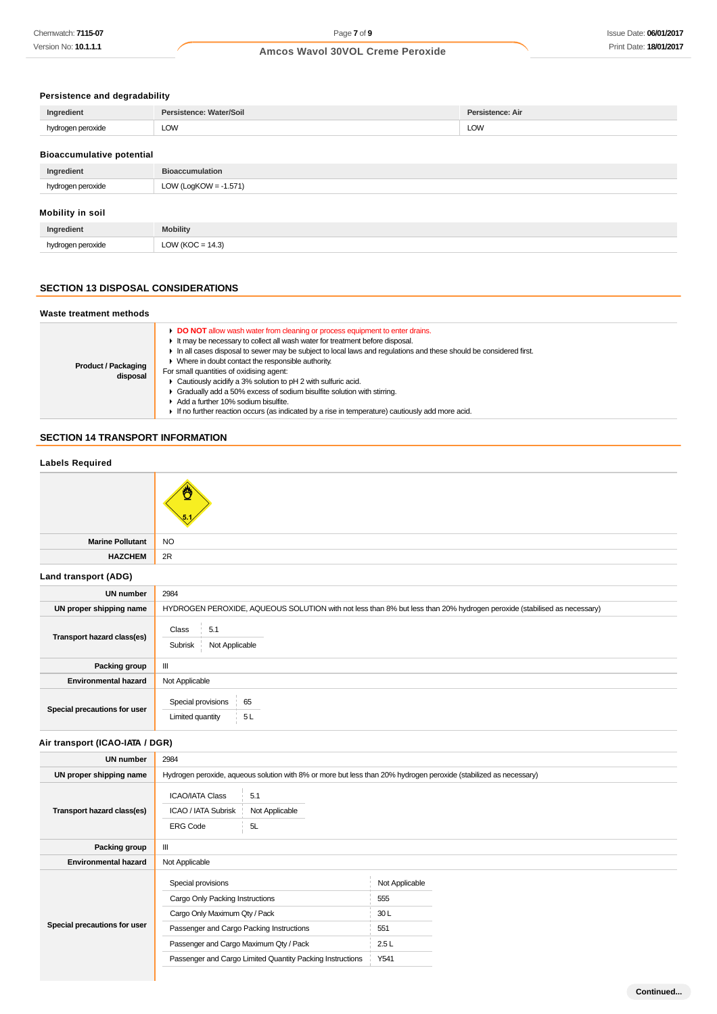# **Persistence and degradability**

| Ingredient                       | Persistence: Water/Soil  | Persistence: Air |  |  |
|----------------------------------|--------------------------|------------------|--|--|
| hydrogen peroxide                | <b>LOW</b>               | <b>LOW</b>       |  |  |
| <b>Bioaccumulative potential</b> |                          |                  |  |  |
| Ingredient                       | <b>Bioaccumulation</b>   |                  |  |  |
|                                  |                          |                  |  |  |
| hydrogen peroxide                | LOW (LogKOW = $-1.571$ ) |                  |  |  |

# **Mobility in soil**

| Ingredient           | <b>Mobility</b>         |
|----------------------|-------------------------|
| ogen peroxide<br>hvd | $= 14.3$<br>ukor.<br>ື້ |

# **SECTION 13 DISPOSAL CONSIDERATIONS**

# **Waste treatment methods**

| <b>Product / Packaging</b><br>disposal |  |  |
|----------------------------------------|--|--|

# **SECTION 14 TRANSPORT INFORMATION**

| <b>Labels Required</b>          |                                                                                                                         |  |
|---------------------------------|-------------------------------------------------------------------------------------------------------------------------|--|
|                                 |                                                                                                                         |  |
| <b>Marine Pollutant</b>         | <b>NO</b>                                                                                                               |  |
| <b>HAZCHEM</b>                  | 2R                                                                                                                      |  |
| Land transport (ADG)            |                                                                                                                         |  |
| <b>UN number</b>                | 2984                                                                                                                    |  |
| UN proper shipping name         | HYDROGEN PEROXIDE, AQUEOUS SOLUTION with not less than 8% but less than 20% hydrogen peroxide (stabilised as necessary) |  |
| Transport hazard class(es)      | 5.1<br>Class<br>Not Applicable<br>Subrisk                                                                               |  |
| Packing group                   | $\ensuremath{\mathsf{III}}\xspace$                                                                                      |  |
| <b>Environmental hazard</b>     | Not Applicable                                                                                                          |  |
| Special precautions for user    | Special provisions  <br>65<br>Limited quantity<br>5L                                                                    |  |
| Air transport (ICAO-IATA / DGR) |                                                                                                                         |  |
| <b>UN number</b>                | 2984                                                                                                                    |  |
| UN proper shipping name         | Hydrogen peroxide, aqueous solution with 8% or more but less than 20% hydrogen peroxide (stabilized as necessary)       |  |
| Transport hazard class(es)      | <b>ICAO/IATA Class</b><br>5.1<br>Not Applicable<br><b>ICAO / IATA Subrisk</b><br>5L<br><b>ERG Code</b>                  |  |
| Packing group                   | Ш                                                                                                                       |  |

| <b>Environmental hazard</b>  | Not Applicable                                            |                |  |
|------------------------------|-----------------------------------------------------------|----------------|--|
|                              | Special provisions                                        | Not Applicable |  |
|                              | Cargo Only Packing Instructions                           | 555            |  |
|                              | Cargo Only Maximum Qty / Pack                             | 30L            |  |
| Special precautions for user | Passenger and Cargo Packing Instructions                  | 551            |  |
|                              | Passenger and Cargo Maximum Qty / Pack                    | 2.5L           |  |
|                              | Passenger and Cargo Limited Quantity Packing Instructions | Y541           |  |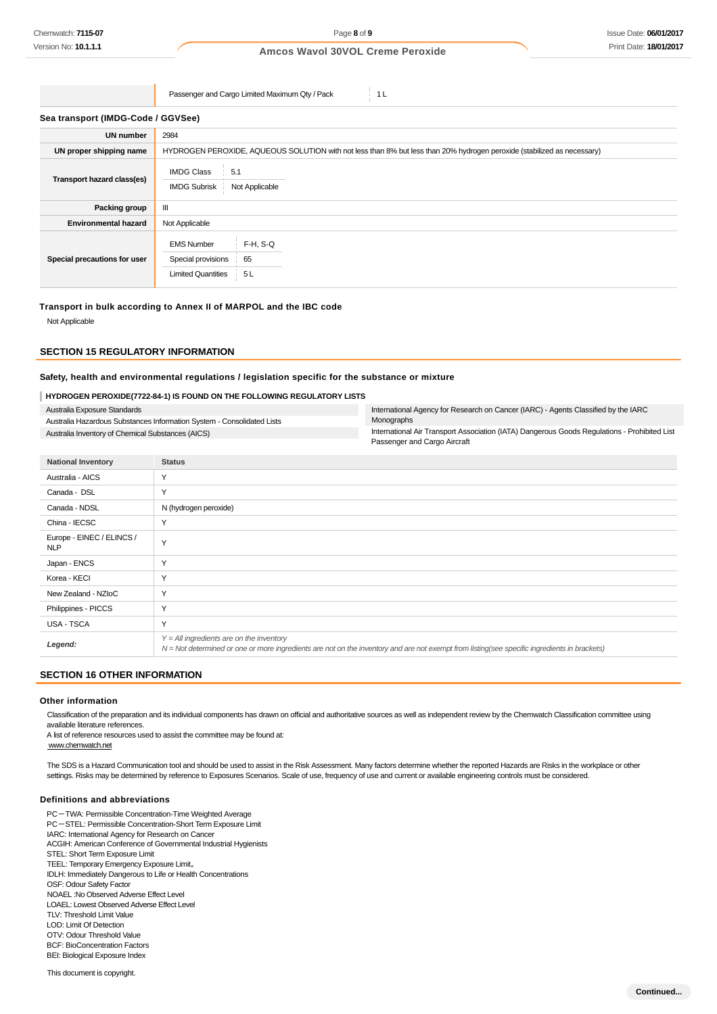Passenger and Cargo Limited Maximum Qty / Pack 1 L

| Sea transport (IMDG-Code / GGVSee) |                                                                                                                         |  |  |  |
|------------------------------------|-------------------------------------------------------------------------------------------------------------------------|--|--|--|
| <b>UN number</b>                   | 2984                                                                                                                    |  |  |  |
| UN proper shipping name            | HYDROGEN PEROXIDE, AQUEOUS SOLUTION with not less than 8% but less than 20% hydrogen peroxide (stabilized as necessary) |  |  |  |
| Transport hazard class(es)         | <b>IMDG Class</b><br>5.1<br><b>IMDG Subrisk</b><br>Not Applicable                                                       |  |  |  |
| Packing group                      | Ш                                                                                                                       |  |  |  |
| <b>Environmental hazard</b>        | Not Applicable                                                                                                          |  |  |  |
| Special precautions for user       | $F-H$ , S-Q<br><b>EMS Number</b><br>65<br>Special provisions<br><b>Limited Quantities</b><br>5L                         |  |  |  |

#### **Transport in bulk according to Annex II of MARPOL and the IBC code**

Not Applicable

# **SECTION 15 REGULATORY INFORMATION**

#### **Safety, health and environmental regulations / legislation specific for the substance or mixture**

#### **HYDROGEN PEROXIDE(7722-84-1) IS FOUND ON THE FOLLOWING REGULATORY LISTS**

Australia Exposure Standards Australia Hazardous Substances Information System - Consolidated Lists Australia Inventory of Chemical Substances (AICS)

International Agency for Research on Cancer (IARC) - Agents Classified by the IARC Monographs

International Air Transport Association (IATA) Dangerous Goods Regulations - Prohibited List Passenger and Cargo Aircraft

| <b>National Inventory</b>               | <b>Status</b>                                                                                                                                                                              |
|-----------------------------------------|--------------------------------------------------------------------------------------------------------------------------------------------------------------------------------------------|
| Australia - AICS                        | Y                                                                                                                                                                                          |
| Canada - DSL                            | Y                                                                                                                                                                                          |
| Canada - NDSL                           | N (hydrogen peroxide)                                                                                                                                                                      |
| China - IECSC                           | Y                                                                                                                                                                                          |
| Europe - EINEC / ELINCS /<br><b>NLP</b> | Y                                                                                                                                                                                          |
| Japan - ENCS                            | Y                                                                                                                                                                                          |
| Korea - KECI                            | Y                                                                                                                                                                                          |
| New Zealand - NZIoC                     | Y                                                                                                                                                                                          |
| Philippines - PICCS                     | Y                                                                                                                                                                                          |
| USA - TSCA                              | Y                                                                                                                                                                                          |
| Legend:                                 | $Y = All$ ingredients are on the inventory<br>N = Not determined or one or more ingredients are not on the inventory and are not exempt from listing(see specific ingredients in brackets) |
|                                         |                                                                                                                                                                                            |

#### **SECTION 16 OTHER INFORMATION**

#### **Other information**

Classification of the preparation and its individual components has drawn on official and authoritative sources as well as independent review by the Chemwatch Classification committee using available literature references.

A list of reference resources used to assist the committee may be found at: www.chemwatch.net

The SDS is a Hazard Communication tool and should be used to assist in the Risk Assessment. Many factors determine whether the reported Hazards are Risks in the workplace or other settings. Risks may be determined by reference to Exposures Scenarios. Scale of use, frequency of use and current or available engineering controls must be considered.

#### **Definitions and abbreviations**

PC-TWA: Permissible Concentration-Time Weighted Average PC-STEL: Permissible Concentration-Short Term Exposure Limit IARC: International Agency for Research on Cancer ACGIH: American Conference of Governmental Industrial Hygienists STEL: Short Term Exposure Limit TEEL: Temporary Emergency Exposure Limit。 IDLH: Immediately Dangerous to Life or Health Concentrations OSF: Odour Safety Factor NOAEL :No Observed Adverse Effect Level LOAEL: Lowest Observed Adverse Effect Level TLV: Threshold Limit Value LOD: Limit Of Detection OTV: Odour Threshold Value BCF: BioConcentration Factors

BEI: Biological Exposure Index This document is copyright.